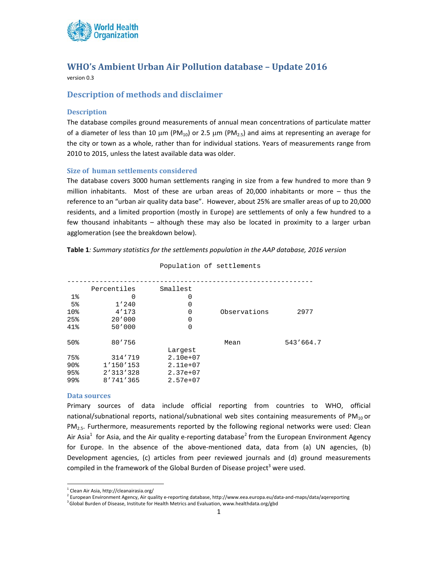

# **WHO's Ambient Urban Air Pollution database – Update 2016**

version 0.3

# **Description of methods and disclaimer**

#### **Description**

The database compiles ground measurements of annual mean concentrations of particulate matter of a diameter of less than 10  $\mu$ m (PM<sub>10</sub>) or 2.5  $\mu$ m (PM<sub>2.5</sub>) and aims at representing an average for the city or town as a whole, rather than for individual stations. Years of measurements range from 2010 to 2015, unless the latest available data was older.

# **Size of human settlements considered**

The database covers 3000 human settlements ranging in size from a few hundred to more than 9 million inhabitants. Most of these are urban areas of 20,000 inhabitants or more – thus the reference to an "urban air quality data base". However, about 25% are smaller areas of up to 20,000 residents, and a limited proportion (mostly in Europe) are settlements of only a few hundred to a few thousand inhabitants – although these may also be located in proximity to a larger urban agglomeration (see the breakdown below).

| Table 1: Summary statistics for the settlements population in the AAP database, 2016 version |  |  |  |
|----------------------------------------------------------------------------------------------|--|--|--|
|----------------------------------------------------------------------------------------------|--|--|--|

|                 | Percentiles | Smallest   |              |           |
|-----------------|-------------|------------|--------------|-----------|
| $1\%$           | 0           | 0          |              |           |
| 5 <sup>°</sup>  | 1'240       | 0          |              |           |
| 10%             | 4'173       | 0          | Observations | 2977      |
| 25%             | 20'000      | $\Omega$   |              |           |
| 41%             | 50'000      | $\Omega$   |              |           |
| 50%             | 80'756      |            | Mean         | 543'664.7 |
|                 |             | Largest    |              |           |
| 75%             | 314/719     | $2.10e+07$ |              |           |
| 90 <sub>8</sub> | 1'150'153   | $2.11e+07$ |              |           |
| 95%             | 2'313'328   | $2.37e+07$ |              |           |
| 99%             | 8'741'365   | $2.57e+07$ |              |           |

Population of settlements

# **Data sources**

Primary sources of data include official reporting from countries to WHO, official national/subnational reports, national/subnational web sites containing measurements of  $PM_{10}$  or PM<sub>2.5</sub>. Furthermore, measurements reported by the following regional networks were used: Clean Air Asia<sup>1</sup> for Asia, and the Air quality e-reporting database<sup>2</sup> from the European Environment Agency for Europe. In the absence of the above-mentioned data, data from (a) UN agencies, (b) Development agencies, (c) articles from peer reviewed journals and (d) ground measurements compiled in the framework of the Global Burden of Disease project<sup>3</sup> were used.

<sup>&</sup>lt;sup>1</sup> Clean Air Asia, http://cleanairasia.org/<br><sup>2</sup> European Environment Agency, Air quality e‐reporting database, http://www.eea.europa.eu/data‐and‐maps/data/aqereporting

 $3$  Global Burden of Disease, Institute for Health Metrics and Evaluation, www.healthdata.org/gbd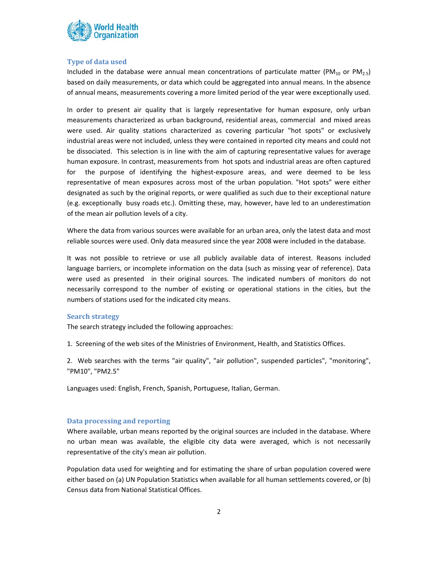

#### **Type of data used**

Included in the database were annual mean concentrations of particulate matter (PM<sub>10</sub> or PM<sub>2.5</sub>) based on daily measurements, or data which could be aggregated into annual means. In the absence of annual means, measurements covering a more limited period of the year were exceptionally used.

In order to present air quality that is largely representative for human exposure, only urban measurements characterized as urban background, residential areas, commercial and mixed areas were used. Air quality stations characterized as covering particular "hot spots" or exclusively industrial areas were not included, unless they were contained in reported city means and could not be dissociated. This selection is in line with the aim of capturing representative values for average human exposure. In contrast, measurements from hot spots and industrial areas are often captured for the purpose of identifying the highest-exposure areas, and were deemed to be less representative of mean exposures across most of the urban population. "Hot spots" were either designated as such by the original reports, or were qualified as such due to their exceptional nature (e.g. exceptionally busy roads etc.). Omitting these, may, however, have led to an underestimation of the mean air pollution levels of a city.

Where the data from various sources were available for an urban area, only the latest data and most reliable sources were used. Only data measured since the year 2008 were included in the database.

It was not possible to retrieve or use all publicly available data of interest. Reasons included language barriers, or incomplete information on the data (such as missing year of reference). Data were used as presented in their original sources. The indicated numbers of monitors do not necessarily correspond to the number of existing or operational stations in the cities, but the numbers of stations used for the indicated city means.

# **Search strategy**

The search strategy included the following approaches:

1. Screening of the web sites of the Ministries of Environment, Health, and Statistics Offices.

2. Web searches with the terms "air quality", "air pollution", suspended particles", "monitoring", "PM10", "PM2.5"

Languages used: English, French, Spanish, Portuguese, Italian, German.

# **Data processing and reporting**

Where available, urban means reported by the original sources are included in the database. Where no urban mean was available, the eligible city data were averaged, which is not necessarily representative of the city's mean air pollution.

Population data used for weighting and for estimating the share of urban population covered were either based on (a) UN Population Statistics when available for all human settlements covered, or (b) Census data from National Statistical Offices.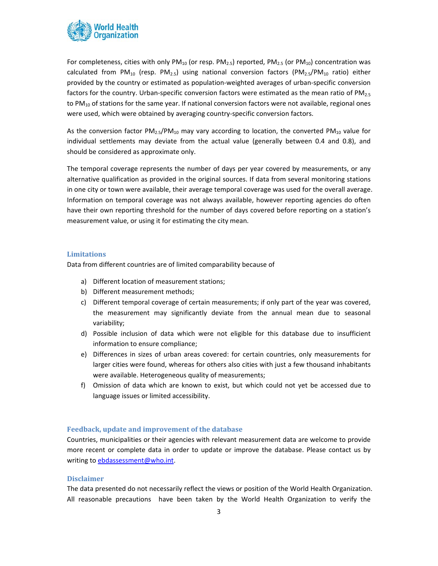

For completeness, cities with only  $PM_{10}$  (or resp.  $PM_{2.5}$ ) reported,  $PM_{2.5}$  (or  $PM_{10}$ ) concentration was calculated from PM<sub>10</sub> (resp. PM<sub>2.5</sub>) using national conversion factors (PM<sub>2.5</sub>/PM<sub>10</sub> ratio) either provided by the country or estimated as population‐weighted averages of urban‐specific conversion factors for the country. Urban-specific conversion factors were estimated as the mean ratio of  $PM_{2.5}$ to  $PM_{10}$  of stations for the same year. If national conversion factors were not available, regional ones were used, which were obtained by averaging country-specific conversion factors.

As the conversion factor  $PM_{2.5}/PM_{10}$  may vary according to location, the converted PM<sub>10</sub> value for individual settlements may deviate from the actual value (generally between 0.4 and 0.8), and should be considered as approximate only.

The temporal coverage represents the number of days per year covered by measurements, or any alternative qualification as provided in the original sources. If data from several monitoring stations in one city or town were available, their average temporal coverage was used for the overall average. Information on temporal coverage was not always available, however reporting agencies do often have their own reporting threshold for the number of days covered before reporting on a station's measurement value, or using it for estimating the city mean.

#### **Limitations**

Data from different countries are of limited comparability because of

- a) Different location of measurement stations;
- b) Different measurement methods;
- c) Different temporal coverage of certain measurements; if only part of the year was covered, the measurement may significantly deviate from the annual mean due to seasonal variability;
- d) Possible inclusion of data which were not eligible for this database due to insufficient information to ensure compliance;
- e) Differences in sizes of urban areas covered: for certain countries, only measurements for larger cities were found, whereas for others also cities with just a few thousand inhabitants were available. Heterogeneous quality of measurements;
- f) Omission of data which are known to exist, but which could not yet be accessed due to language issues or limited accessibility.

#### **Feedback, update and improvement of the database**

Countries, municipalities or their agencies with relevant measurement data are welcome to provide more recent or complete data in order to update or improve the database. Please contact us by writing to ebdassessment@who.int.

# **Disclaimer**

The data presented do not necessarily reflect the views or position of the World Health Organization. All reasonable precautions have been taken by the World Health Organization to verify the